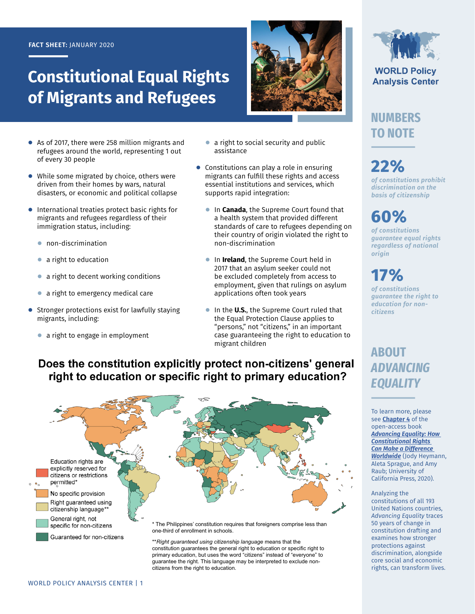#### **FACT SHEET:** JANUARY 2020

# **Constitutional Equal Rights of Migrants and Refugees**

- **●** As of 2017, there were 258 million migrants and refugees around the world, representing 1 out of every 30 people
- **●** While some migrated by choice, others were driven from their homes by wars, natural disasters, or economic and political collapse
- **●** International treaties protect basic rights for migrants and refugees regardless of their immigration status, including:
	- **●** non-discrimination
	- **●** a right to education
	- **●** a right to decent working conditions
	- **●** a right to emergency medical care
- **●** Stronger protections exist for lawfully staying migrants, including:
	- **●** a right to engage in employment



- **●** Constitutions can play a role in ensuring migrants can fulfill these rights and access essential institutions and services, which supports rapid integration:
	- **●** In **Canada**, the Supreme Court found that a health system that provided different standards of care to refugees depending on their country of origin violated the right to non-discrimination
	- **●** In **Ireland**, the Supreme Court held in 2017 that an asylum seeker could not be excluded completely from access to employment, given that rulings on asylum applications often took years
	- **●** In the **U.S.**, the Supreme Court ruled that the Equal Protection Clause applies to "persons," not "citizens," in an important case guaranteeing the right to education to migrant children

#### Does the constitution explicitly protect non-citizens' general right to education or specific right to primary education?



constitution guarantees the general right to education or specific right to primary education, but uses the word "citizens" instead of "everyone" to guarantee the right. This language may be interpreted to exclude noncitizens from the right to education.



**WORLD Policy Analysis Center** 

### **NUMBERS TO NOTE**

**22%** *of constitutions prohibit discrimination on the basis of citizenship*

# **60%**

*of constitutions guarantee equal rights regardless of national origin*

# **17%**

*of constitutions guarantee the right to education for noncitizens*

### **ABOUT**  *ADVANCING EQUALITY*

To learn more, please see **[Chapter 4](https://doi.org/10.1525/luminos.81.e)** of the open-access book *[Advancing Equality: How](https://doi.org/10.1525/luminos.81)  [Constitutional Rights](https://doi.org/10.1525/luminos.81)  [Can Make a Difference](https://doi.org/10.1525/luminos.81)  [Worldwide](https://doi.org/10.1525/luminos.81)* (Jody Heymann, Aleta Sprague, and Amy Raub; University of California Press, 2020).

#### Analyzing the constitutions of all 193 United Nations countries, *Advancing Equality* traces 50 years of change in constitution drafting and examines how stronger protections against discrimination, alongside core social and economic rights, can transform lives.